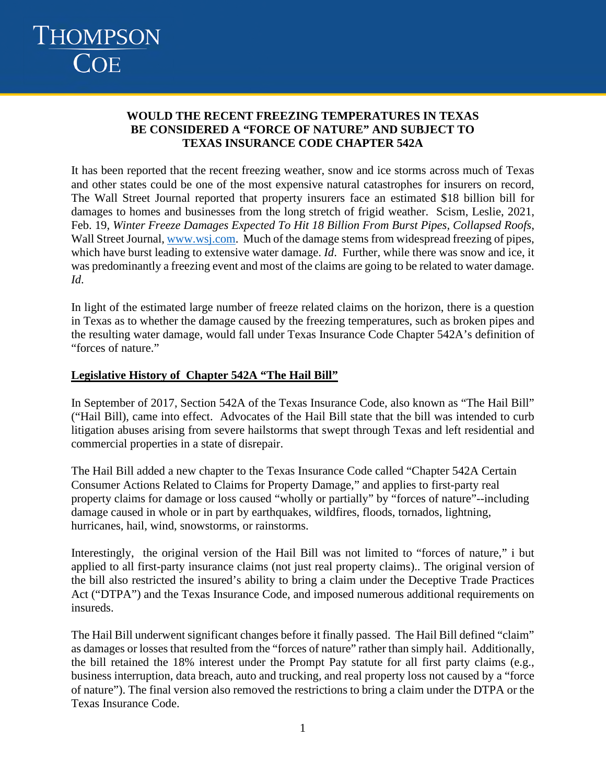# THOMPSON<br>COE

### **WOULD THE RECENT FREEZING TEMPERATURES IN TEXAS BE CONSIDERED A "FORCE OF NATURE" AND SUBJECT TO TEXAS INSURANCE CODE CHAPTER 542A**

It has been reported that the recent freezing weather, snow and ice storms across much of Texas and other states could be one of the most expensive natural catastrophes for insurers on record, The Wall Street Journal reported that property insurers face an estimated \$18 billion bill for damages to homes and businesses from the long stretch of frigid weather. Scism, Leslie, 2021, Feb. 19, *Winter Freeze Damages Expected To Hit 18 Billion From Burst Pipes, Collapsed Roofs*, Wall Street Journal, www.wsj.com. Much of the damage stems from widespread freezing of pipes, which have burst leading to extensive water damage. *Id*. Further, while there was snow and ice, it was predominantly a freezing event and most of the claims are going to be related to water damage. *Id*.

In light of the estimated large number of freeze related claims on the horizon, there is a question in Texas as to whether the damage caused by the freezing temperatures, such as broken pipes and the resulting water damage, would fall under Texas Insurance Code Chapter 542A's definition of "forces of nature."

### **Legislative History of Chapter 542A "The Hail Bill"**

In September of 2017, Section 542A of the Texas Insurance Code, also known as "The Hail Bill" ("Hail Bill), came into effect. Advocates of the Hail Bill state that the bill was intended to curb litigation abuses arising from severe hailstorms that swept through Texas and left residential and commercial properties in a state of disrepair.

The Hail Bill added a new chapter to the Texas Insurance Code called "Chapter 542A Certain Consumer Actions Related to Claims for Property Damage," and applies to first-party real property claims for damage or loss caused "wholly or partially" by "forces of nature"--including damage caused in whole or in part by earthquakes, wildfires, floods, tornados, lightning, hurricanes, hail, wind, snowstorms, or rainstorms.

Interestingly, the original version of the Hail Bill was not limited to "forces of nature," i but applied to all first-party insurance claims (not just real property claims).. The original version of the bill also restricted the insured's ability to bring a claim under the Deceptive Trade Practices Act ("DTPA") and the Texas Insurance Code, and imposed numerous additional requirements on insureds.

The Hail Bill underwent significant changes before it finally passed. The Hail Bill defined "claim" as damages or losses that resulted from the "forces of nature" rather than simply hail. Additionally, the bill retained the 18% interest under the Prompt Pay statute for all first party claims (e.g., business interruption, data breach, auto and trucking, and real property loss not caused by a "force of nature"). The final version also removed the restrictions to bring a claim under the DTPA or the Texas Insurance Code.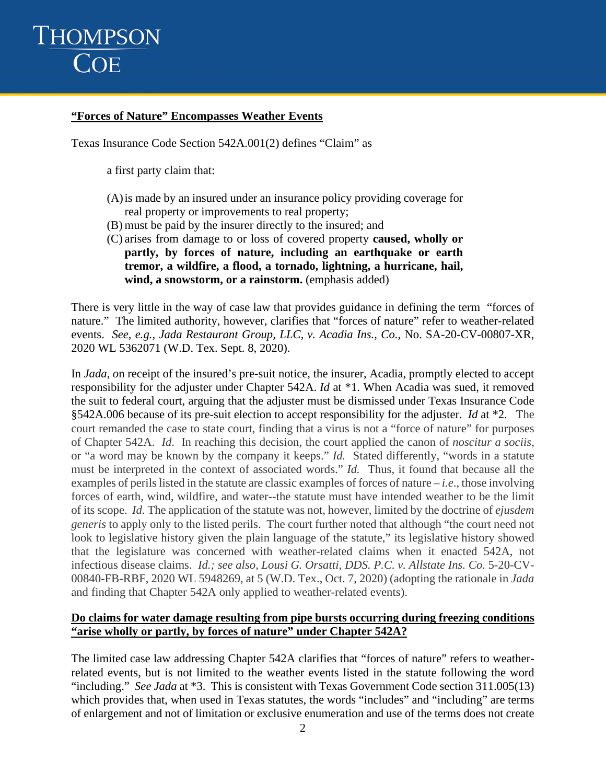## THOMPSON COE

#### **"Forces of Nature" Encompasses Weather Events**

Texas Insurance Code Section 542A.001(2) defines "Claim" as

a first party claim that:

- (A)is made by an insured under an insurance policy providing coverage for real property or improvements to real property;
- (B) must be paid by the insurer directly to the insured; and
- (C) arises from damage to or loss of covered property **caused, wholly or partly, by forces of nature, including an earthquake or earth tremor, a wildfire, a flood, a tornado, lightning, a hurricane, hail,**  wind, a snowstorm, or a rainstorm. (emphasis added)

There is very little in the way of case law that provides guidance in defining the term "forces of nature." The limited authority, however, clarifies that "forces of nature" refer to weather-related events. *See, e.g., Jada Restaurant Group, LLC, v. Acadia Ins., Co.*, No. SA-20-CV-00807-XR, 2020 WL 5362071 (W.D. Tex. Sept. 8, 2020).

In *Jada, o*n receipt of the insured's pre-suit notice, the insurer, Acadia, promptly elected to accept responsibility for the adjuster under Chapter 542A. *Id* at \*1. When Acadia was sued, it removed the suit to federal court, arguing that the adjuster must be dismissed under Texas Insurance Code §542A.006 because of its pre-suit election to accept responsibility for the adjuster. *Id* at \*2. The court remanded the case to state court, finding that a virus is not a "force of nature" for purposes of Chapter 542A. *Id*. In reaching this decision, the court applied the canon of *noscitur a sociis*, or "a word may be known by the company it keeps." *Id.* Stated differently, "words in a statute must be interpreted in the context of associated words." *Id.* Thus, it found that because all the examples of perils listed in the statute are classic examples of forces of nature *– i.e*., those involving forces of earth, wind, wildfire, and water--the statute must have intended weather to be the limit of its scope. *Id.* The application of the statute was not, however, limited by the doctrine of *ejusdem generis* to apply only to the listed perils. The court further noted that although "the court need not look to legislative history given the plain language of the statute," its legislative history showed that the legislature was concerned with weather-related claims when it enacted 542A, not infectious disease claims. *Id.; see also, Lousi G. Orsatti, DDS. P.C. v. Allstate Ins. Co.* 5-20-CV-00840-FB-RBF, 2020 WL 5948269, at 5 (W.D. Tex., Oct. 7, 2020) (adopting the rationale in *Jada* and finding that Chapter 542A only applied to weather-related events).

### **Do claims for water damage resulting from pipe bursts occurring during freezing conditions "arise wholly or partly, by forces of nature" under Chapter 542A?**

The limited case law addressing Chapter 542A clarifies that "forces of nature" refers to weatherrelated events, but is not limited to the weather events listed in the statute following the word "including." *See Jada* at \*3. This is consistent with Texas Government Code section 311.005(13) which provides that, when used in Texas statutes, the words "includes" and "including" are terms of enlargement and not of limitation or exclusive enumeration and use of the terms does not create